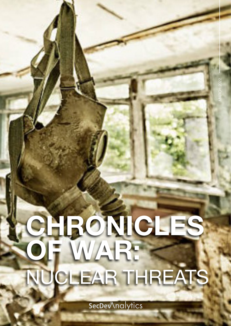# CHRONICLES. OF WAR: NUCLEAR THREATS

SecDe Analytics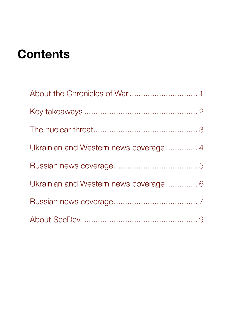## **Contents**

| Ukrainian and Western news coverage 4 |  |
|---------------------------------------|--|
|                                       |  |
| Ukrainian and Western news coverage 6 |  |
|                                       |  |
|                                       |  |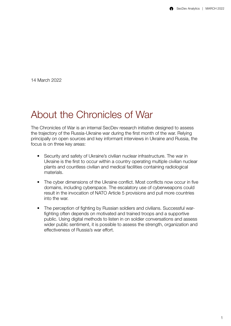<span id="page-2-0"></span>14 March 2022

#### About the Chronicles of War

The Chronicles of War is an internal SecDev research initiative designed to assess the trajectory of the Russia-Ukraine war during the first month of the war. Relying principally on open sources and key informant interviews in Ukraine and Russia, the focus is on three key areas:

- Security and safety of Ukraine's civilian nuclear infrastructure. The war in Ukraine is the first to occur within a country operating multiple civilian nuclear plants and countless civilian and medical facilities containing radiological materials.
- The cyber dimensions of the Ukraine conflict. Most conflicts now occur in five domains, including cyberspace. The escalatory use of cyberweapons could result in the invocation of NATO Article 5 provisions and pull more countries into the war.
- The perception of fighting by Russian soldiers and civilians. Successful warfighting often depends on motivated and trained troops and a supportive public. Using digital methods to listen in on soldier conversations and assess wider public sentiment, it is possible to assess the strength, organization and effectiveness of Russia's war effort.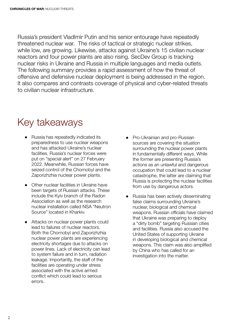<span id="page-3-0"></span>Russia's president VladImir Putin and his senior entourage have repeatedly threatened nuclear war. The risks of tactical or strategic nuclear strikes, while low, are growing. Likewise, attacks against Ukraine's 15 civilian nuclear reactors and four power plants are also rising. SecDev Group is tracking nuclear risks in Ukraine and Russia in multiple languages and media outlets. The following summary provides a rapid assessment of how the threat of offensive and defensive nuclear deployment is being addressed in the region. It also compares and contrasts coverage of physical and cyber-related threats to civilian nuclear infrastructure.

#### Key takeaways

- ● Russia has repeatedly indicated its preparedness to use nuclear weapons and has attacked Ukraine's nuclear facilities. Russia's nuclear forces were put on "special alert" on 27 February 2022. Meanwhile, Russian forces have seized control of the Chornobyl and the Zaporizhzhia nuclear power plants.
- Other nuclear facilities in Ukraine have been targets of Russian attacks. These include the Kyiv branch of the Radon Association as well as the research nuclear installation called NSA "Neutron Source" located in Kharkiv.
- ● Attacks on nuclear power plants could lead to failures of nuclear reactors. Both the Chornobyl and Zaporizhzhia nuclear power plants are experiencing electricity shortages due to attacks on power lines. Lack of electricity can lead to system failure and in turn, radiation leakage. Importantly, the staff of the facilities are operating under stress associated with the active armed conflict which could lead to serious errors.
- Pro-Ukrainian and pro-Russian sources are covering the situation surrounding the nuclear power plants in fundamentally different ways. While the former are presenting Russia's actions as an unlawful and dangerous occupation that could lead to a nuclear catastrophe, the latter are claiming that Russia is protecting the nuclear facilities from use by dangerous actors.
- Russia has been actively disseminating false claims surrounding Ukraine's nuclear, biological and chemical weapons. Russian officials have claimed that Ukraine was preparing to deploy a "dirty bomb" targeting Russian cities and facilities. Russia also accused the United States of supporting Ukraine in developing biological and chemical weapons. This claim was also amplified by China who has called for an investigation into the matter.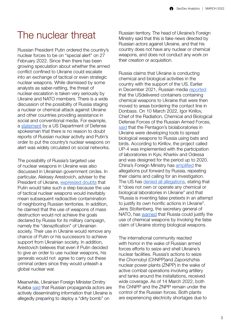#### <span id="page-4-0"></span>The nuclear threat

Russian President Putin ordered the country's nuclear forces to be on "special alert" on 27 February 2022. Since then there has been growing speculation about whether the armed conflict confined to Ukraine could escalate into an exchange of tactical or even strategic nuclear weapons. While dismissed by some analysts as saber-rattling, the threat of nuclear escalation is taken very seriously by Ukraine and NATO members. There is a wide discussion of the possibility of Russia staging a nuclear or chemical attack against Ukraine and other countries providing assistance in social and conventional media. For example, a [statement](https://t.me/uniannet/33092) by a US Department of Defense spokesman that there is no reason to doubt reports of Russian nuclear activity and Putin's order to put the country's nuclear weapons on alert was widely circulated on social networks.

The possibility of Russia's targeted use of nuclear weapons in Ukraine was also discussed in Ukrainian government circles. In particular, Aleksey Arestovich, adviser to the President of Ukraine, [expressed doubts](https://t.me/uniannet/33089) that Putin would take such a step because the use of tactical nuclear weapons would inevitably mean subsequent radioactive contamination of neighboring Russian territories. In addition, he claimed that the use of weapons of mass destruction would not achieve the goals declared by Russia for its military campaign, namely the "denazification" of Ukrainian society. Their use in Ukraine would remove any chance of Putin or his successors to achieve support from Ukrainian society. In addition, Arestovich believes that even if Putin decided to give an order to use nuclear weapons, his generals would not agree to carry out these criminal orders since they would unleash a global nuclear war.

Meanwhile, Ukrainian Foreign Minister Dmitry Kuleba [said](https://t.me/uniannet/32423) that Russian propaganda actors are actively disseminating information that Ukraine is allegedly preparing to deploy a "dirty bomb" on

Russian territory. The head of Ukraine's Foreign Ministry said that this is fake news directed by Russian actors against Ukraine, and that his country does not have any nuclear or chemical weapons, and does not conduct any work on their creation or acquisition.

Russia claims that Ukraine is conducting chemical and biological activities in the country with the support of the US. Earlier in December 2021, Russian media [reported](https://ria.ru/20211222/khimoruzhie-1764909094.html) that the USdelivered containers containing chemical weapons to Ukraine that were then moved to areas bordering the contact line in Donbass. On 10 March 2022, Igor Kirillov, Chief of the Radiation, Chemical and Biological Defense Forces of the Russian Armed Forces, [said](https://iz.ru/1303664/izvestiia/bezrassudnyi-sposob-v-minoborony-zaiavili-o-sozdanii-biologicheskogo-oruzhiia-na-ukraine) that the Pentagon's biolaboratories in Ukraine were developing tools to spread biological weapons to Russia using bats and birds. According to Kirillov, the project called UP-4 was implemented with the participation of laboratories in Kyiv, Kharkiv and Odessa and was designed for the period up to 2020. China's Foreign Ministry has [amplified](https://apnews.com/article/russia-ukraine-covid-health-biological-weapons-china-39eeee023efdf7ea59c4a20b7e018169) the allegations put forward by Russia, repeating their claims and calling for an investigation. The US has [denied all allegations](https://www.state.gov/the-kremlins-allegations-of-chemical-and-biological-weapons-laboratories-in-ukraine/), stating that it "does not own or operate any chemical or biological laboratories in Ukraine" and that "Russia is inventing false pretexts in an attempt to justify its own horrific actions in Ukraine". Jens Stoltenberg, the secretary general of NATO, has [warned](https://www.politico.eu/article/nato-chief-russia-chemical-weapons-ukraine/) that Russia could justify the use of chemical weapons by invoking the false claim of Ukraine storing biological weapons.

The international community reacted with horror in the wake of Russian armed forces efforts to seize and shell Ukraine's nuclear facilities. Russia's actions to seize the Chornobyl (ChNPP)and Zaporizhzhia nuclear power plants (ZNPP) in the wake of active combat operations involving artillery and tanks around the installations, received wide coverage. As of 14 March 2022, both the ChNPP and the ZNPP remain under the control of the Russian forces. Both plants are experiencing electricity shortages due to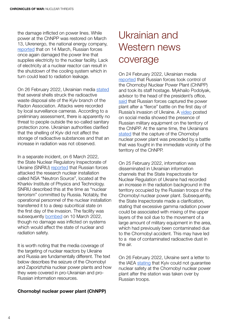<span id="page-5-0"></span>the damage inflicted on power lines. While power at the ChNPP was restored on March 13, Ukrenergo, the national energy company, [reported](https://www.ukrinform.net/rubric-ato/3429266-invaders-again-damage-power-line-at-chornobyl-npp-ukrenergo.html) that on 14 March, Russian forces once again damaged the power line that supplies electricity to the nuclear facility. Lack of electricity at a nuclear reactor can result in the shutdown of the cooling system which in turn could lead to radiation leakage.

On 26 February 2022, Ukrainian media [stated](https://t.me/uniannet/32801) that several shells struck the radioactive waste disposal site of the Kyiv branch of the Radon Association. Attacks were recorded by local surveillance cameras. According to a preliminary assessment, there is apparently no threat to people outside the so-called sanitary protection zone. Ukrainian authorities clarified that the shelling of Kyiv did not affect the storage of radioactive substances and that an increase in radiation was not observed.

In a separate incident, on 6 March 2022, the State Nuclear Regulatory Inspectorate of Ukraine (SNRIU) [reported](https://snriu.gov.ua/en/news/shelter-nsa-neutron-source) that Russian forces attacked the research nuclear installation called NSA "Neutron Source", located at the Kharkiv Institute of Physics and Technology. SNRIU described this at the time as "nuclear terrorism" committed by Russia. Notably, the operational personnel of the nuclear installation transferred it to a deep subcritical state on the first day of the invasion. The facility was subsequently **bombed** on 10 March 2022, though no damage was inflicted on systems which would affect the state of nuclear and radiation safety.

It is worth noting that the media coverage of the targeting of nuclear reactors by Ukraine and Russia are fundamentally different. The text below describes the seizure of the Chornobyl and Zaporizhzhia nuclear power plants and how they were covered in pro-Ukrainian and pro-Russian information resources.

#### Chornobyl nuclear power plant (ChNPP)

### Ukrainian and Western news coverage

On 24 February 2022, Ukrainian media [reported](https://tsn.ua/ukrayina/okupanti-zahopili-chornobilsku-aes-1987033.html) that Russian forces took control of the Chornobyl Nuclear Power Plant (ChNPP) and took its staff hostage. Mykhailo Podolyak, advisor to the head of the president's office, [said](https://www.rferl.org/a/ukraine-invasion-russian-forces-chernobyl-/31721240.html) that Russian forces captured the power plant after a "fierce" battle on the first day of Russia's invasion of Ukraine. A [video](https://t.me/nexta_live/16810) posted on social media showed the presence of Russian military equipment on the territory of the ChNPP. At the same time, the Ukrainians [stated](https://t.me/uniannet/31368) that the capture of the Chornobyl nuclear power plant was preceded by a battle that was fought in the immediate vicinity of the territory of the ChNPP.

On 25 February 2022, information was disseminated in Ukrainian information channels that the State Inspectorate for Nuclear Regulation of Ukraine had recorded an increase in the radiation background in the territory occupied by the Russian troops of the Chornobyl nuclear power plant. Subsequently, the State Inspectorate made a clarification, stating that excessive gamma radiation power could be associated with mixing of the upper layers of the soil due to the movement of a large amount of military equipment in the area, which had previously been contaminated due to the Chornobyl accident. This may have led to a rise of contaminated radioactive dust in the air.

On 26 February 2022, Ukraine sent a letter to the IAEA [stating](https://t.me/uniannet/32801) that Kyiv could not guarantee nuclear safety at the Chornobyl nuclear power plant after the station was taken over by Russian troops.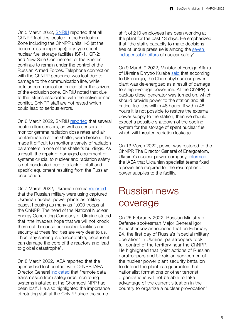<span id="page-6-0"></span>On 5 March 2022, [SNRIU](https://snriu.gov.ua/en/news/current-situation-chnpp) reported that all ChNPP facilities located in the Exclusion Zone including the ChNPP units 1-3 (at the decommissioning stage); dry type spent nuclear fuel storage facilities ISF-1, ISF-2; and New Safe Confinement of the Shelter continue to remain under the control of the Russian Armed Forces. Telephone connection with the ChNPP personnel was lost due to damage to the communication line, while cellular communication ended after the seizure of the exclusion zone. SNRIU noted that due to the stress associated with the active armed conflict, ChNPP staff are not rested which could lead to serious errors.

On 6 March 2022, SNRIU [reported](https://snriu.gov.ua/en/news/chnpp-facilities-situation-update) that several neutron flux sensors, as well as sensors to monitor gamma radiation dose rates and air contamination at the shelter, were broken. This made it difficult to monitor a variety of radiation parameters in one of the shelter's buildings. As a result, the repair of damaged equipment of systems crucial to nuclear and radiation safety is not conducted due to a lack of staff and specific equipment resulting from the Russian occupation.

On 7 March 2022, Ukrainian media [reported](https://www.ukrinform.ua/rubric-ato/3421968-na-zaporizkij-aes-rozmistili-500-rosijskih-vijskovih.html) that the Russian military were using captured Ukrainian nuclear power plants as military bases, housing as many as 1,000 troops at the ChNPP. The head of the National Nuclear Energy Generating Company of Ukraine stated that "the invaders hope that we will not knock them out, because our nuclear facilities and security at these facilities are very dear to us. Thus, any shelling is unacceptable, because it can damage the core of the reactors and lead to global catastrophe".

On 8 March 2022, IAEA reported that the agency had lost contact with ChNPP. IAEA Director General [indicated](https://www.iaea.org/newscenter/pressreleases/update-15-iaea-director-general-statement-on-situation-in-ukraine) that "remote data transmission from safeguards monitoring systems installed at the Chornobyl NPP had been lost". He also highlighted the importance of rotating staff at the ChNPP since the same

shift of 210 employees has been working at the plant for the past 13 days. He emphasized that "the staff's capacity to make decisions free of undue pressure is among the [seven](https://www.iaea.org/ar/newscenter/pressreleases/iaea-director-general-grossis-initiative-to-travel-to-ukraine)  [indispensable pillars](https://www.iaea.org/ar/newscenter/pressreleases/iaea-director-general-grossis-initiative-to-travel-to-ukraine) of nuclear safety".

On 9 March 9 2022, Minister of Foreign Affairs of Ukraine Dmytro Kuleba [said](https://t.me/WarLife/8521) that according to Ukrenergo, the Chornobyl nuclear power plant was de-energized as a result of damage to a high-voltage power line. At the ChNPP, a backup diesel generator was turned on, which should provide power to the station and all critical facilities within 48 hours. If within 48 hours it is not possible to restore the external power supply to the station, then we should expect a possible shutdown of the cooling system for the storage of spent nuclear fuel, which will threaten radiation leakage.

On 13 March 2022, power was restored to the ChNPP. The Director General of Energoatom, Ukraine's nuclear power company, [informed](https://www.iaea.org/newscenter/pressreleases/update-20-iaea-director-general-statement-on-situation-in-ukraine) the IAEA that Ukrainian specialist teams fixed a power line required for the resumption of power supplies to the facility.

#### Russian news coverage

On 25 February 2022, Russian Ministry of Defense spokesman Major General Igor Konashenkov announced that on February 24, the first day of Russia's "special military operation" in Ukraine, paratroopers took full control of the territory near the ChNPP. He highlighted that "joint actions of Russian paratroopers and Ukrainian servicemen of the nuclear power plant security battalion to defend the plant is a guarantee that nationalist formations or other terrorist organizations will not be able to take advantage of the current situation in the country to organize a nuclear provocation".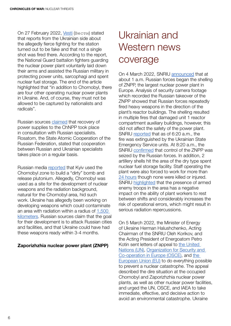<span id="page-7-0"></span>On 27 February 2022, [Vesti](https://www.vesti.ru/article/2682649) (Вести) stated that reports from the Ukrainian side about the allegedly fierce fighting for the station turned out to be fake and that not a single shot was fired there. According to the report, the National Guard battalion fighters guarding the nuclear power plant voluntarily laid down their arms and assisted the Russian military in protecting power units, sarcophagi and spent nuclear fuel storage. The end of the article highlighted that "in addition to Chornobyl, there are four other operating nuclear power plants in Ukraine. And, of course, they must not be allowed to be captured by nationalists and radicals".

Russian sources [claimed](https://ria.ru/20220312/chaes-1777857992.html) that recovery of power supplies to the ChNPP took place in consultation with Russian specialists. Rosatom, the State Atomic Cooperation of the Russian Federation, stated that cooperation between Russian and Ukrainian specialists takes place on a regular basis.

Russian media [reported](https://ria.ru/20220306/chaes-1776880399.html) that Kyiv used the Chornobyl zone to build a "dirty" bomb and release plutonium. Allegedly, Chornobyl was used as a site for the development of nuclear weapons and the radiation background. natural for the Chornobyl area, hid such work. Ukraine has allegedly been working on developing weapons which could contaminate an area with radiation within a radius of [1,500](https://riafan.ru/5492-Voennii_ekspert_Koshkin_Ukraina_pitalas_sozdat_gryaznuyu_bombu_?utm_source=yxnews&utm_medium=desktop&utm_referrer=https%3A%2F%2Fyandex.ru%2Fnews%2Fsearch%3Ftext%3D)  [kilometers](https://riafan.ru/5492-Voennii_ekspert_Koshkin_Ukraina_pitalas_sozdat_gryaznuyu_bombu_?utm_source=yxnews&utm_medium=desktop&utm_referrer=https%3A%2F%2Fyandex.ru%2Fnews%2Fsearch%3Ftext%3D). Russian sources claim that the goal for their development is to attack Russian cities and facilities, and that Ukraine could have had these weapons ready within 3-4 months.

#### Zaporizhzhia nuclear power plant (ZNPP)

## Ukrainian and Western news coverage

On 4 March 2022, SNRIU [announced](https://snriu.gov.ua/en/news/information-notice-zaporizhzhia-npp-status-04-march-2022-0600) that at about 1 a.m. Russian forces began the shelling of ZNPP, the largest nuclear power plant in Europe. Analysis of security camera footage which recorded the Russian takeover of the ZNPP showed that Russian forces repeatedly fired heavy weapons in the direction of the plant's reactor buildings. The shelling resulted in multiple fires that damaged unit 1 reactor compartment auxiliary buildings, however, this did not affect the safety of the power plant. SNRIU [reported](https://snriu.gov.ua/en/news/updated-information-about-zaporizhzhia-npp) that as of 6:20 a.m., the fire was extinguished by the Ukrainian State Emergency Service units. At 8:20 a.m., the SNRIU [confirmed](https://snriu.gov.ua/en/news/updated-information-about-zaporizhzhia-npp-0800) that control of the ZNPP was seized by the Russian forces. In addition, 2 artillery shells hit the area of the dry type spent nuclear fuel storage facility. Staff operating the plant were also forced to work for more than [24 hours](https://snriu.gov.ua/en/news/updated-information-about-zaporizhzhia-npp-1500) though none were killed or injured. SNRIU [highlighted](https://snriu.gov.ua/en/news/current-situation-znpp) that the presence of armed enemy troops in the area has a negative impact on the ability of plant workers to rest between shifts and considerably increases the risk of operational errors, which might result in serious radiation repercussions.

On 5 March 2022, the Minister of Energy of Ukraine Herman Halushchenko, Acting Chairman of the SNRIU Oleh Korikov, and the Acting President of Energoatom Petro Kotin sent letters of appeal to [the United](https://snriu.gov.ua/storage/app/sites/1/uploaded-files/Letter_to_UN_05.03.22_FINAL.pdf)  [Nations \(UN\)](https://snriu.gov.ua/storage/app/sites/1/uploaded-files/Letter_to_UN_05.03.22_FINAL.pdf), [Organization for Security and](https://snriu.gov.ua/storage/app/sites/1/uploaded-files/Letter_to_OSCE_05.03.22_FINAL.pdf)  [Co-operation in Europe \(OSCE\),](https://snriu.gov.ua/storage/app/sites/1/uploaded-files/Letter_to_OSCE_05.03.22_FINAL.pdf) and [the](https://snriu.gov.ua/storage/app/sites/1/uploaded-files/Letter_to_EU_05.03.22_FINAL.pdf)  [European Union \(EU\)](https://snriu.gov.ua/storage/app/sites/1/uploaded-files/Letter_to_EU_05.03.22_FINAL.pdf) to do everything possible to prevent a nuclear catastrophe. The appeal described the dire situation at the occupied Chornobyl and Zaporizhzhia nuclear power plants, as well as other nuclear power facilities, and urged the UN, OSCE, and IAEA to take immediate, effective, and decisive action to avoid an environmental catastrophe. Ukraine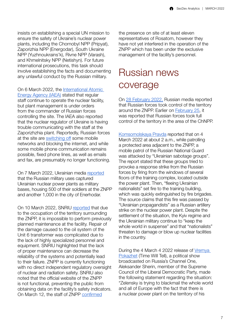<span id="page-8-0"></span>insists on establishing a special UN mission to ensure the safety of Ukraine's nuclear power plants, including the Chornobyl NPP (Pripyat), Zaporizhia NPP (Energodar), South Ukraine NPP (Yuzhnoukrains'k), Rivne NPP (Varash), and Khmelnitsky NPP (Netishyn). For future international prosecutions, this task should involve establishing the facts and documenting any unlawful conduct by the Russian military.

On 6 March 2022, the International Atomic [Energy Agency \(IAEA\)](https://twitter.com/iaeaorg/status/1500513732002201603) stated that regular staff continue to operate the nuclear facility, but plant management is under orders from the commander of Russian forces controlling the site. The IAEA also reported that the nuclear regulator of Ukraine is having trouble communicating with the staff at the Zaporizhzhia plant. Reportedly, Russian forces at the site are [switching off](https://news.un.org/en/story/2022/03/1113382) some mobile networks and blocking the internet, and while some mobile phone communication remains possible, fixed phone lines, as well as emails and fax, are presumably no longer functioning.

On 7 March 2022, Ukrainian media [reported](https://www.ukrinform.ua/rubric-ato/3421968-na-zaporizkij-aes-rozmistili-500-rosijskih-vijskovih.html) that the Russian military uses captured Ukrainian nuclear power plants as military bases, housing 500 of their soldiers at the ZNPP and another 1,000 in the city of Enerhodar.

On 10 March 2022, SNRIU [reported](https://snriu.gov.ua/en/news/information-zaporizhzhia-npp-1200-10-march-2022) that due to the occupation of the territory surrounding the ZNPP, it is impossible to perform previously planned maintenance at the facility. Repair of the damage caused to the oil system of the Unit 6 transformer was complicated due to the lack of highly specialized personnel and equipment. SNRIU highlighted that the lack of proper maintenance can decrease the reliability of the systems and potentially lead to their failure. ZNPP is currently functioning with no direct independent regulatory oversight of nuclear and radiation safety. SNRIU also noted that the official website of the ZNPP is not functional, preventing the public from obtaining data on the facility's safety indicators. On March 12, the staff of ZNPP [confirmed](https://snriu.gov.ua/en/news/zaporizhzhia-npp-status-update-12-march-2022)

the presence on site of at least eleven representatives of Rosatom, however they have not yet interfered in the operation of the ZNPP which has been under the exclusive management of the facility's personnel.

#### Russian news coverage

On [28 February 2022,](https://russian.rt.com/russia/news/969054-rossiiskie-voennye-zaporozhskaya-aes) Russian media reported that Russian forces took control of the territory around the ZNPP. Earlier on [February 25,](https://russian.rt.com/ussr/news/967659-rossiiskie-desantnik-kontrol) it was reported that Russian forces took full control of the territory in the area of the ChNPP.

[Komsomolskaya Pravda](https://www.kp.ru/daily/27373/4554160/) reported that on 4 March 2022 at about 2 a.m., while patrolling a protected area adjacent to the ZNPP, a mobile patrol of the Russian National Guard was attacked by "Ukrainian sabotage groups". The report stated that these groups tried to provoke a response strike from the Russian forces by firing from the windows of several floors of the training complex, located outside the power plant. Then, "fleeing Ukrainian nationalists" set fire to the training building, which was quickly extinguished by fire brigades. The source claims that this fire was passed by "Ukrainian propagandists" as a Russian artillery strike on the nuclear power plant. Despite the settlement of the situation, the Kyiv regime and the Ukrainian military continue to "keep the whole world in suspense" and that "nationalists" threaten to damage or blow up nuclear facilities in the country.

During the 4 March 4 2022 release of [Vremya](https://www.youtube.com/watch?v=W41WjUH1UzU)  [Pokazhet](https://www.youtube.com/watch?v=W41WjUH1UzU) (Time Will Tell), a political show broadcasted on Russia's Channel One, Aleksander Sherin, member of the Supreme Council of the Liberal Democratic Party, made the following statement regarding the situation: "Zelensky is trying to blackmail the whole world and all of Europe with the fact that there is a nuclear power plant on the territory of his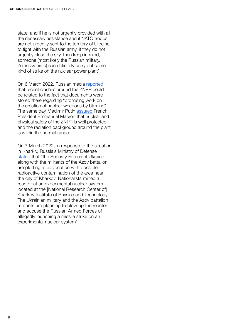state, and if he is not urgently provided with all the necessary assistance and if NATO troops are not urgently sent to the territory of Ukraine to fight with the Russian army, if they do not urgently close the sky, then keep in mind, someone (most likely the Russian military, Zelensky hints) can definitely carry out some kind of strike on the nuclear power plant".

On 6 March 2022, Russian media [reported](https://ria.ru/20220306/zaes-1776879391.html) that recent clashes around the ZNPP could be related to the fact that documents were stored there regarding "promising work on the creation of nuclear weapons by Ukraine". The same day, Vladimir Putin [assured](https://lenta.ru/news/2022/03/06/zaes/) French President Emmanuel Macron that nuclear and physical safety of the ZNPP is well protected and the radiation background around the plant is within the normal range.

On 7 March 2022, in response to the situation in Kharkiv, Russia's Ministry of Defense [stated](https://tass.com/defense/1418059) that "the Security Forces of Ukraine along with the militants of the Azov battalion are plotting a provocation with possible radioactive contamination of the area near the city of Kharkov. Nationalists mined a reactor at an experimental nuclear system located at the [National Research Center of] Kharkov Institute of Physics and Technology. The Ukrainian military and the Azov battalion militants are planning to blow up the reactor and accuse the Russian Armed Forces of allegedly launching a missile strike on an experimental nuclear system".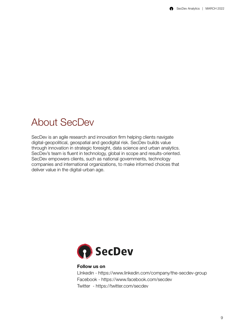#### <span id="page-10-0"></span>About SecDev

SecDev is an agile research and innovation firm helping clients navigate digital-geopolitical, geospatial and geodigital risk. SecDev builds value through innovation in strategic foresight, data science and urban analytics. SecDev's team is fluent in technology, global in scope and results-oriented. SecDev empowers clients, such as national governments, technology companies and international organizations, to make informed choices that deliver value in the digital-urban age.



#### Follow us on

LInkedin - https://www.linkedin.com/company/the-secdev-group Facebook - https://www.facebook.com/secdev Twitter - https://twitter.com/secdev